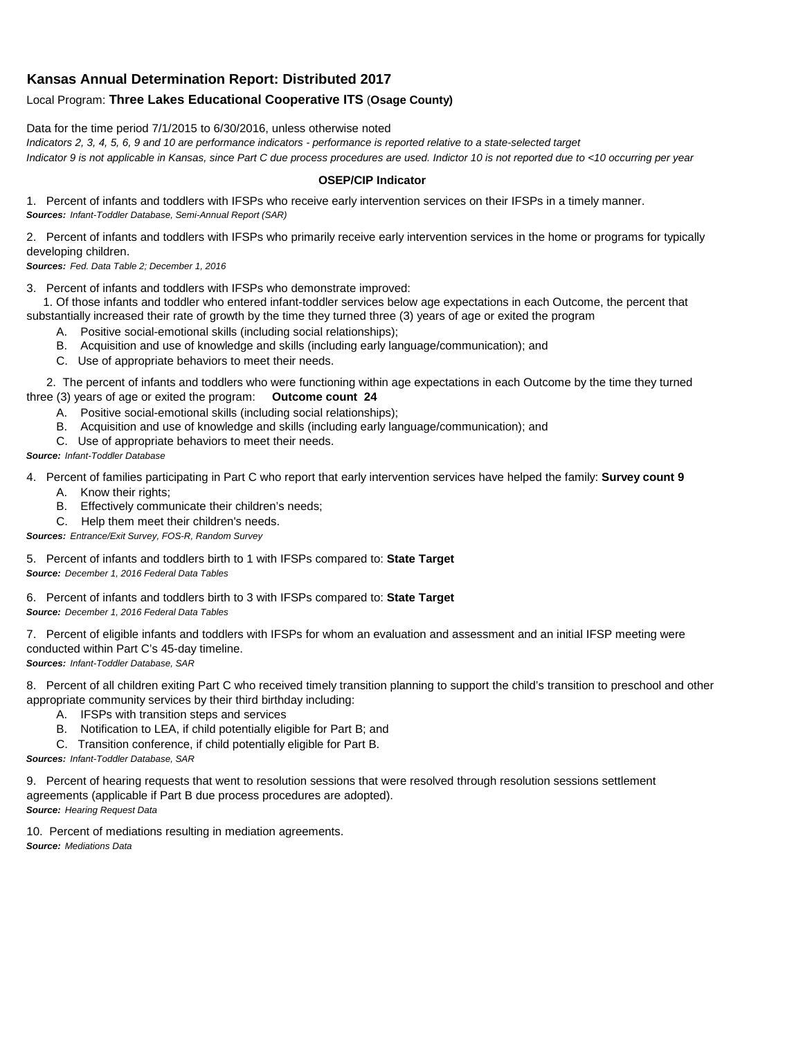## **Kansas Annual Determination Report: Distributed 2017**

## Local Program: **Three Lakes Educational Cooperative ITS** (**Osage County)**

Data for the time period 7/1/2015 to 6/30/2016, unless otherwise noted

*Indicators 2, 3, 4, 5, 6, 9 and 10 are performance indicators - performance is reported relative to a state-selected target Indicator 9 is not applicable in Kansas, since Part C due process procedures are used. Indictor 10 is not reported due to <10 occurring per year*

## **OSEP/CIP Indicator**

1. Percent of infants and toddlers with IFSPs who receive early intervention services on their IFSPs in a timely manner. *Sources: Infant-Toddler Database, Semi-Annual Report (SAR)* 

2. Percent of infants and toddlers with IFSPs who primarily receive early intervention services in the home or programs for typically developing children.

*Sources: Fed. Data Table 2; December 1, 2016*

3. Percent of infants and toddlers with IFSPs who demonstrate improved:

 1. Of those infants and toddler who entered infant-toddler services below age expectations in each Outcome, the percent that substantially increased their rate of growth by the time they turned three (3) years of age or exited the program

- A. Positive social-emotional skills (including social relationships);
- B. Acquisition and use of knowledge and skills (including early language/communication); and
- C. Use of appropriate behaviors to meet their needs.

 2. The percent of infants and toddlers who were functioning within age expectations in each Outcome by the time they turned three (3) years of age or exited the program: **Outcome count 24**

- A. Positive social-emotional skills (including social relationships);
- B. Acquisition and use of knowledge and skills (including early language/communication); and
- C. Use of appropriate behaviors to meet their needs.

## *Source: Infant-Toddler Database*

4. Percent of families participating in Part C who report that early intervention services have helped the family: **Survey count 9**

- A. Know their rights;
- B. Effectively communicate their children's needs;
- C. Help them meet their children's needs.
- *Sources: Entrance/Exit Survey, FOS-R, Random Survey*

5. Percent of infants and toddlers birth to 1 with IFSPs compared to: **State Target** *Source: December 1, 2016 Federal Data Tables*

6. Percent of infants and toddlers birth to 3 with IFSPs compared to: **State Target** *Source: December 1, 2016 Federal Data Tables*

7. Percent of eligible infants and toddlers with IFSPs for whom an evaluation and assessment and an initial IFSP meeting were conducted within Part C's 45-day timeline.

*Sources: Infant-Toddler Database, SAR*

8. Percent of all children exiting Part C who received timely transition planning to support the child's transition to preschool and other appropriate community services by their third birthday including:

- A. IFSPs with transition steps and services
- B. Notification to LEA, if child potentially eligible for Part B; and
- C. Transition conference, if child potentially eligible for Part B.

*Sources: Infant-Toddler Database, SAR*

9. Percent of hearing requests that went to resolution sessions that were resolved through resolution sessions settlement agreements (applicable if Part B due process procedures are adopted). *Source: Hearing Request Data*

10. Percent of mediations resulting in mediation agreements. *Source: Mediations Data*